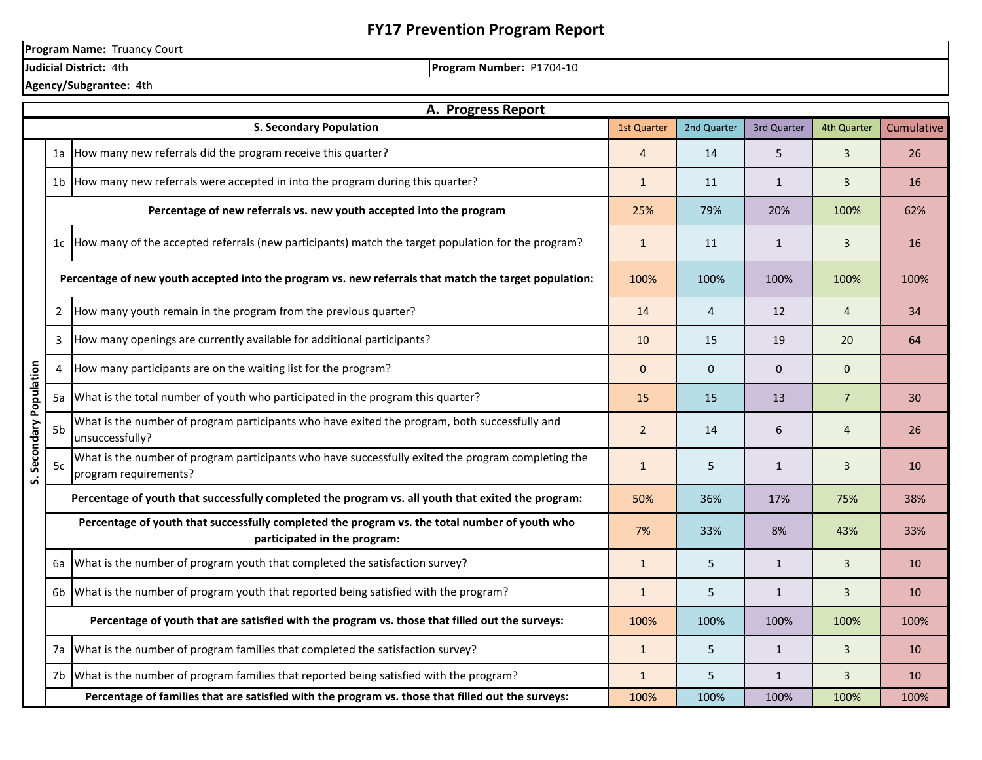## **FY17 Prevention Program Report**

**Program Name:** Truancy Court

**Judicial District:** 4th **Program Number: P1704-10** 

|  | Agency/Subgrantee: 4th |  |
|--|------------------------|--|
|--|------------------------|--|

|                                                                                                   | A. Progress Report                                                                                                            |                                                                                                                             |                |                |              |                |            |
|---------------------------------------------------------------------------------------------------|-------------------------------------------------------------------------------------------------------------------------------|-----------------------------------------------------------------------------------------------------------------------------|----------------|----------------|--------------|----------------|------------|
|                                                                                                   |                                                                                                                               | <b>S. Secondary Population</b>                                                                                              | 1st Quarter    | 2nd Quarter    | 3rd Quarter  | 4th Quarter    | Cumulative |
|                                                                                                   | 1a l                                                                                                                          | How many new referrals did the program receive this quarter?                                                                |                | 14             | 5            | $\mathbf{3}$   | 26         |
|                                                                                                   |                                                                                                                               | 1b How many new referrals were accepted in into the program during this quarter?                                            |                | 11             | $\mathbf{1}$ | $\mathbf{3}$   | 16         |
|                                                                                                   | Percentage of new referrals vs. new youth accepted into the program                                                           |                                                                                                                             | 25%            | 79%            | 20%          | 100%           | 62%        |
|                                                                                                   |                                                                                                                               | 1c How many of the accepted referrals (new participants) match the target population for the program?                       | $\mathbf{1}$   | 11             | $\mathbf{1}$ | 3              | <b>16</b>  |
|                                                                                                   | Percentage of new youth accepted into the program vs. new referrals that match the target population:                         |                                                                                                                             | 100%           | 100%           | 100%         | 100%           | 100%       |
|                                                                                                   | $\overline{2}$                                                                                                                | How many youth remain in the program from the previous quarter?                                                             | 14             | $\overline{4}$ | 12           | $\overline{4}$ | 34         |
|                                                                                                   | $\overline{3}$                                                                                                                | How many openings are currently available for additional participants?                                                      | 10             | 15             | 19           | 20             | 64         |
|                                                                                                   | 4                                                                                                                             | How many participants are on the waiting list for the program?                                                              |                | $\mathbf 0$    | $\Omega$     | $\mathbf{0}$   |            |
|                                                                                                   | What is the total number of youth who participated in the program this quarter?<br>5a                                         |                                                                                                                             | 15             | 15             | 13           | $\overline{7}$ | 30         |
| S. Secondary Population                                                                           | 5b                                                                                                                            | What is the number of program participants who have exited the program, both successfully and<br>unsuccessfully?            | $\overline{2}$ | 14             | 6            | $\overline{4}$ | 26         |
|                                                                                                   | 5c                                                                                                                            | What is the number of program participants who have successfully exited the program completing the<br>program requirements? | $\mathbf{1}$   | 5              | $\mathbf{1}$ | $\overline{3}$ | 10         |
|                                                                                                   | Percentage of youth that successfully completed the program vs. all youth that exited the program:                            |                                                                                                                             |                | 36%            | 17%          | 75%            | 38%        |
|                                                                                                   | Percentage of youth that successfully completed the program vs. the total number of youth who<br>participated in the program: |                                                                                                                             | 7%             | 33%            | 8%           | 43%            | 33%        |
|                                                                                                   | 6а                                                                                                                            | What is the number of program youth that completed the satisfaction survey?                                                 | $\mathbf{1}$   | 5              | $\mathbf{1}$ | $\mathbf{3}$   | 10         |
|                                                                                                   | 6b                                                                                                                            | What is the number of program youth that reported being satisfied with the program?                                         | $\mathbf{1}$   | 5              | $\mathbf{1}$ | $\overline{3}$ | 10         |
|                                                                                                   |                                                                                                                               | Percentage of youth that are satisfied with the program vs. those that filled out the surveys:                              |                | 100%           | 100%         | 100%           | 100%       |
|                                                                                                   | 7a                                                                                                                            | What is the number of program families that completed the satisfaction survey?                                              |                | 5              | $\mathbf{1}$ | $\mathbf{3}$   | 10         |
|                                                                                                   |                                                                                                                               | What is the number of program families that reported being satisfied with the program?<br>7b                                |                | 5              | $\mathbf{1}$ | $\overline{3}$ | 10         |
| Percentage of families that are satisfied with the program vs. those that filled out the surveys: |                                                                                                                               |                                                                                                                             |                | 100%           | 100%         | 100%           | 100%       |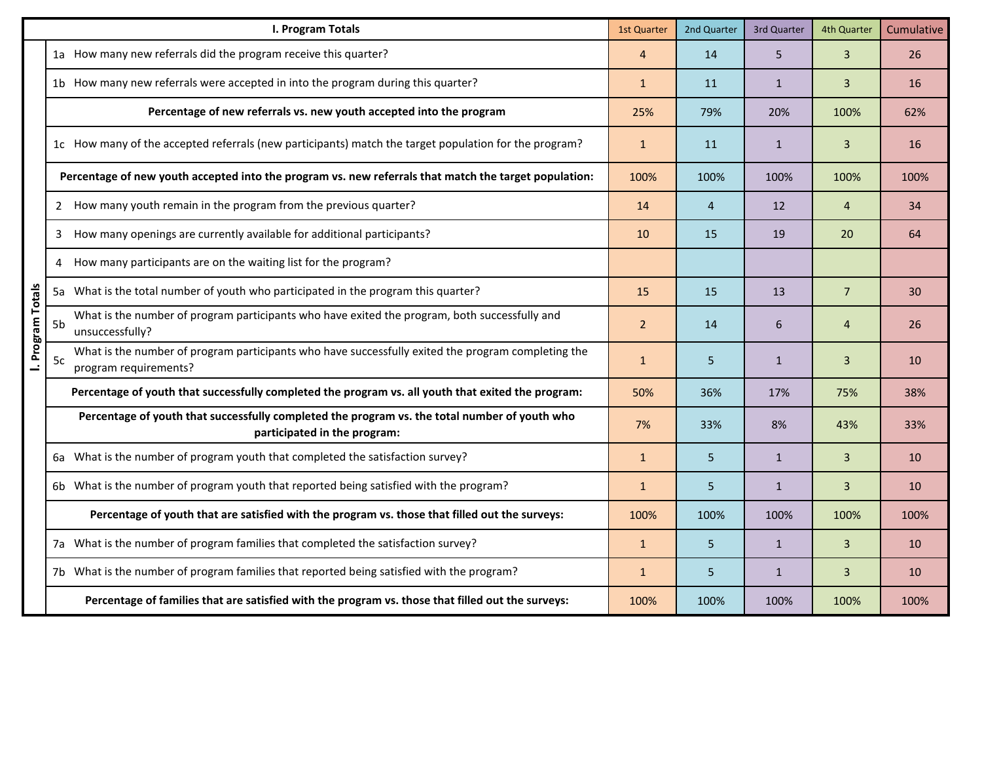|                   | I. Program Totals                                                                                                                 | 1st Quarter  | 2nd Quarter | 3rd Quarter  | 4th Quarter    | Cumulative |
|-------------------|-----------------------------------------------------------------------------------------------------------------------------------|--------------|-------------|--------------|----------------|------------|
|                   | 1a How many new referrals did the program receive this quarter?                                                                   |              | 14          | 5            | $\overline{3}$ | 26         |
|                   | 1b How many new referrals were accepted in into the program during this quarter?                                                  |              | 11          | $\mathbf{1}$ | $\overline{3}$ | 16         |
|                   | Percentage of new referrals vs. new youth accepted into the program                                                               | 25%          | 79%         | 20%          | 100%           | 62%        |
|                   | 1c How many of the accepted referrals (new participants) match the target population for the program?                             | $\mathbf{1}$ | 11          | $\mathbf{1}$ | $\overline{3}$ | 16         |
|                   | Percentage of new youth accepted into the program vs. new referrals that match the target population:                             | 100%         | 100%        | 100%         | 100%           | 100%       |
|                   | 2 How many youth remain in the program from the previous quarter?                                                                 | 14           | 4           | 12           | $\overline{4}$ | 34         |
|                   | How many openings are currently available for additional participants?<br>3                                                       | 10           | 15          | 19           | 20             | 64         |
|                   | How many participants are on the waiting list for the program?<br>4                                                               |              |             |              |                |            |
|                   | 5a What is the total number of youth who participated in the program this quarter?                                                | 15           | 15          | 13           | $\overline{7}$ | 30         |
| I. Program Totals | What is the number of program participants who have exited the program, both successfully and<br>5b<br>unsuccessfully?            |              | 14          | 6            | $\overline{4}$ | 26         |
|                   | What is the number of program participants who have successfully exited the program completing the<br>5c<br>program requirements? | $\mathbf{1}$ | 5           | $\mathbf{1}$ | $\overline{3}$ | 10         |
|                   | Percentage of youth that successfully completed the program vs. all youth that exited the program:                                | 50%          | 36%         | 17%          | 75%            | 38%        |
|                   | Percentage of youth that successfully completed the program vs. the total number of youth who<br>participated in the program:     |              | 33%         | 8%           | 43%            | 33%        |
|                   | 6a What is the number of program youth that completed the satisfaction survey?                                                    | $\mathbf{1}$ | 5           | $\mathbf{1}$ | $\overline{3}$ | 10         |
|                   | 6b What is the number of program youth that reported being satisfied with the program?                                            | $\mathbf{1}$ | 5           | $\mathbf{1}$ | $\overline{3}$ | 10         |
|                   | Percentage of youth that are satisfied with the program vs. those that filled out the surveys:                                    |              | 100%        | 100%         | 100%           | 100%       |
|                   | 7a What is the number of program families that completed the satisfaction survey?                                                 | $\mathbf{1}$ | 5           | $\mathbf{1}$ | $\overline{3}$ | 10         |
|                   | 7b What is the number of program families that reported being satisfied with the program?                                         | $\mathbf{1}$ | 5           | $\mathbf{1}$ | $\overline{3}$ | 10         |
|                   | Percentage of families that are satisfied with the program vs. those that filled out the surveys:                                 | 100%         | 100%        | 100%         | 100%           | 100%       |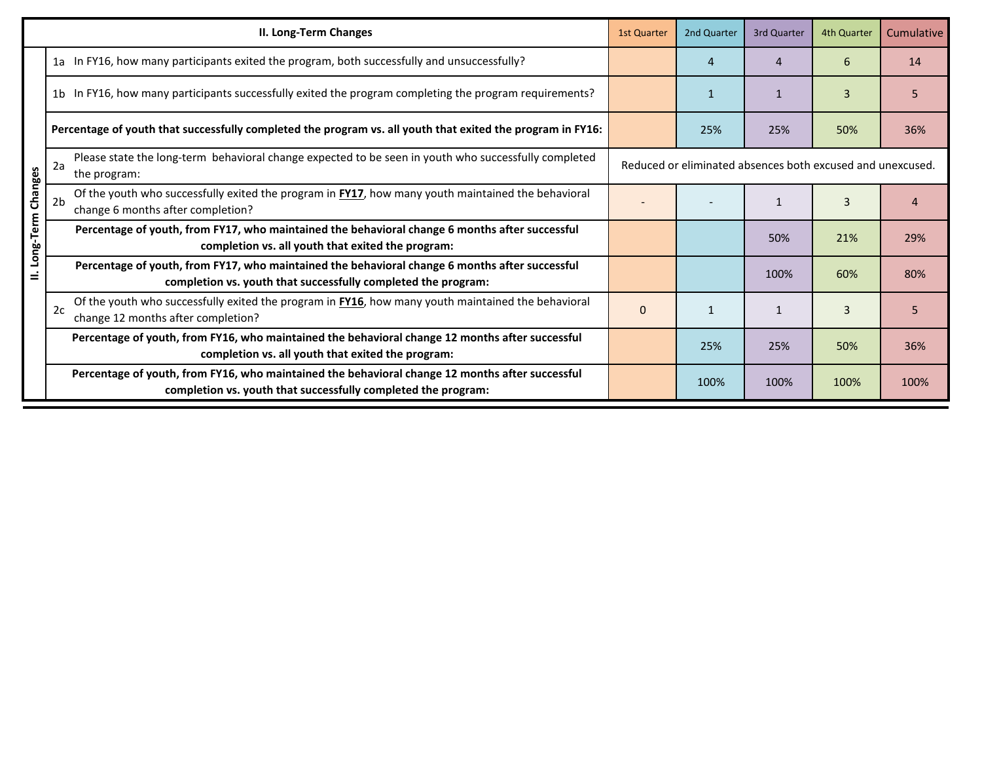|                        | II. Long-Term Changes                                                                                                                                                              | <b>1st Quarter</b> | 2nd Quarter  | 3rd Quarter | 4th Quarter | Cumulative |
|------------------------|------------------------------------------------------------------------------------------------------------------------------------------------------------------------------------|--------------------|--------------|-------------|-------------|------------|
|                        | 1a In FY16, how many participants exited the program, both successfully and unsuccessfully?                                                                                        |                    | 4            | Δ           | 6           | 14         |
|                        | 1b In FY16, how many participants successfully exited the program completing the program requirements?                                                                             |                    |              |             | 3           | 5.         |
|                        | Percentage of youth that successfully completed the program vs. all youth that exited the program in FY16:                                                                         |                    | 25%          | 25%         | 50%         | 36%        |
|                        | Please state the long-term behavioral change expected to be seen in youth who successfully completed<br>Reduced or eliminated absences both excused and unexcused.<br>the program: |                    |              |             |             |            |
|                        | Of the youth who successfully exited the program in <b>FY17</b> , how many youth maintained the behavioral<br>2 <sub>b</sub><br>change 6 months after completion?                  |                    |              |             | 3           |            |
| Long-Term Changes<br>Ξ | Percentage of youth, from FY17, who maintained the behavioral change 6 months after successful<br>completion vs. all youth that exited the program:                                |                    |              | 50%         | 21%         | 29%        |
|                        | Percentage of youth, from FY17, who maintained the behavioral change 6 months after successful<br>completion vs. youth that successfully completed the program:                    |                    |              | 100%        | 60%         | 80%        |
|                        | Of the youth who successfully exited the program in <b>FY16</b> , how many youth maintained the behavioral<br>2c<br>change 12 months after completion?                             | 0                  | $\mathbf{1}$ |             | 3           | 5          |
|                        | Percentage of youth, from FY16, who maintained the behavioral change 12 months after successful<br>completion vs. all youth that exited the program:                               |                    | 25%          | 25%         | 50%         | 36%        |
|                        | Percentage of youth, from FY16, who maintained the behavioral change 12 months after successful<br>completion vs. youth that successfully completed the program:                   |                    | 100%         | 100%        | 100%        | 100%       |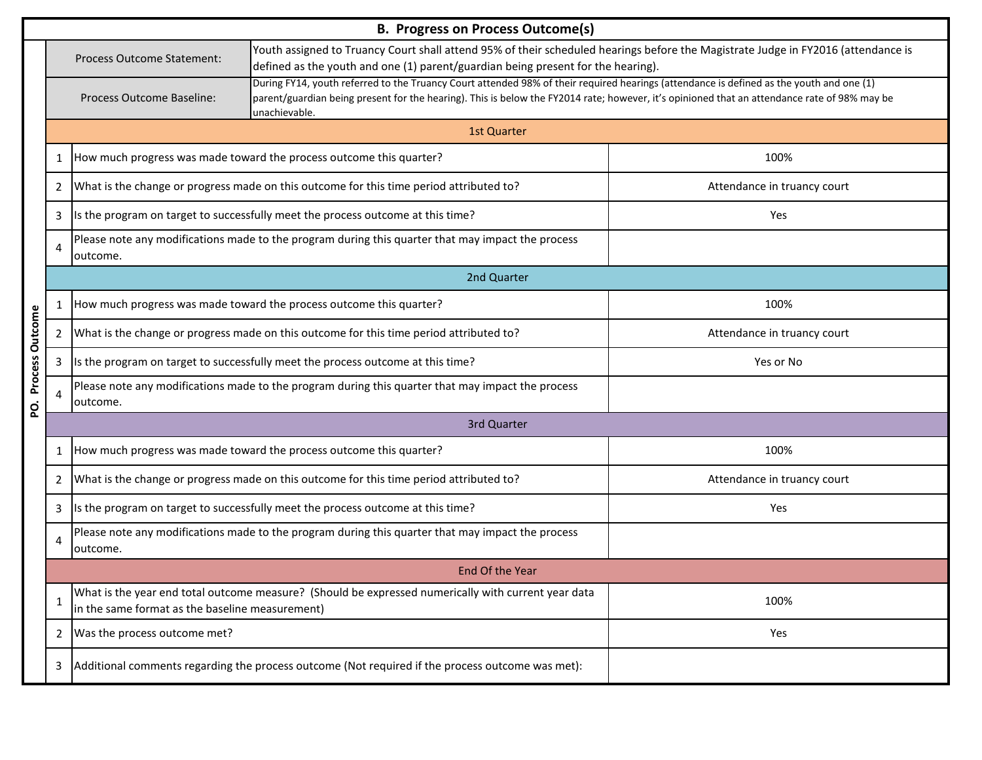|             | <b>B. Progress on Process Outcome(s)</b> |                                                                                                                                                                                                                                                     |                                                                                                                                                                                                                                                                                                           |                             |  |  |  |
|-------------|------------------------------------------|-----------------------------------------------------------------------------------------------------------------------------------------------------------------------------------------------------------------------------------------------------|-----------------------------------------------------------------------------------------------------------------------------------------------------------------------------------------------------------------------------------------------------------------------------------------------------------|-----------------------------|--|--|--|
|             |                                          | Youth assigned to Truancy Court shall attend 95% of their scheduled hearings before the Magistrate Judge in FY2016 (attendance is<br>Process Outcome Statement:<br>defined as the youth and one (1) parent/guardian being present for the hearing). |                                                                                                                                                                                                                                                                                                           |                             |  |  |  |
|             |                                          | Process Outcome Baseline:                                                                                                                                                                                                                           | During FY14, youth referred to the Truancy Court attended 98% of their required hearings (attendance is defined as the youth and one (1)<br>parent/guardian being present for the hearing). This is below the FY2014 rate; however, it's opinioned that an attendance rate of 98% may be<br>unachievable. |                             |  |  |  |
|             |                                          | 1st Quarter                                                                                                                                                                                                                                         |                                                                                                                                                                                                                                                                                                           |                             |  |  |  |
|             | 1                                        |                                                                                                                                                                                                                                                     | How much progress was made toward the process outcome this quarter?                                                                                                                                                                                                                                       | 100%                        |  |  |  |
|             | $\overline{2}$                           |                                                                                                                                                                                                                                                     | What is the change or progress made on this outcome for this time period attributed to?                                                                                                                                                                                                                   | Attendance in truancy court |  |  |  |
|             | 3                                        |                                                                                                                                                                                                                                                     | Is the program on target to successfully meet the process outcome at this time?                                                                                                                                                                                                                           | Yes                         |  |  |  |
|             | 4                                        | outcome.                                                                                                                                                                                                                                            | Please note any modifications made to the program during this quarter that may impact the process                                                                                                                                                                                                         |                             |  |  |  |
|             |                                          |                                                                                                                                                                                                                                                     | 2nd Quarter                                                                                                                                                                                                                                                                                               |                             |  |  |  |
|             | $\mathbf{1}$                             |                                                                                                                                                                                                                                                     | How much progress was made toward the process outcome this quarter?                                                                                                                                                                                                                                       | 100%                        |  |  |  |
| Outcome     | 2                                        |                                                                                                                                                                                                                                                     | What is the change or progress made on this outcome for this time period attributed to?                                                                                                                                                                                                                   | Attendance in truancy court |  |  |  |
| Process     | 3                                        |                                                                                                                                                                                                                                                     | Is the program on target to successfully meet the process outcome at this time?                                                                                                                                                                                                                           | Yes or No                   |  |  |  |
| ŏ.          | 4                                        | outcome.                                                                                                                                                                                                                                            | Please note any modifications made to the program during this quarter that may impact the process                                                                                                                                                                                                         |                             |  |  |  |
| 3rd Quarter |                                          |                                                                                                                                                                                                                                                     |                                                                                                                                                                                                                                                                                                           |                             |  |  |  |
|             | 1                                        |                                                                                                                                                                                                                                                     | How much progress was made toward the process outcome this quarter?                                                                                                                                                                                                                                       | 100%                        |  |  |  |
|             | 2                                        |                                                                                                                                                                                                                                                     | What is the change or progress made on this outcome for this time period attributed to?                                                                                                                                                                                                                   | Attendance in truancy court |  |  |  |
|             | 3                                        |                                                                                                                                                                                                                                                     | Is the program on target to successfully meet the process outcome at this time?                                                                                                                                                                                                                           | Yes                         |  |  |  |
|             | 4                                        | outcome.                                                                                                                                                                                                                                            | Please note any modifications made to the program during this quarter that may impact the process                                                                                                                                                                                                         |                             |  |  |  |
|             |                                          |                                                                                                                                                                                                                                                     | End Of the Year                                                                                                                                                                                                                                                                                           |                             |  |  |  |
|             |                                          | in the same format as the baseline measurement)                                                                                                                                                                                                     | What is the year end total outcome measure? (Should be expressed numerically with current year data                                                                                                                                                                                                       | 100%                        |  |  |  |
|             | 2                                        | Was the process outcome met?                                                                                                                                                                                                                        |                                                                                                                                                                                                                                                                                                           | Yes                         |  |  |  |
|             | 3                                        |                                                                                                                                                                                                                                                     | Additional comments regarding the process outcome (Not required if the process outcome was met):                                                                                                                                                                                                          |                             |  |  |  |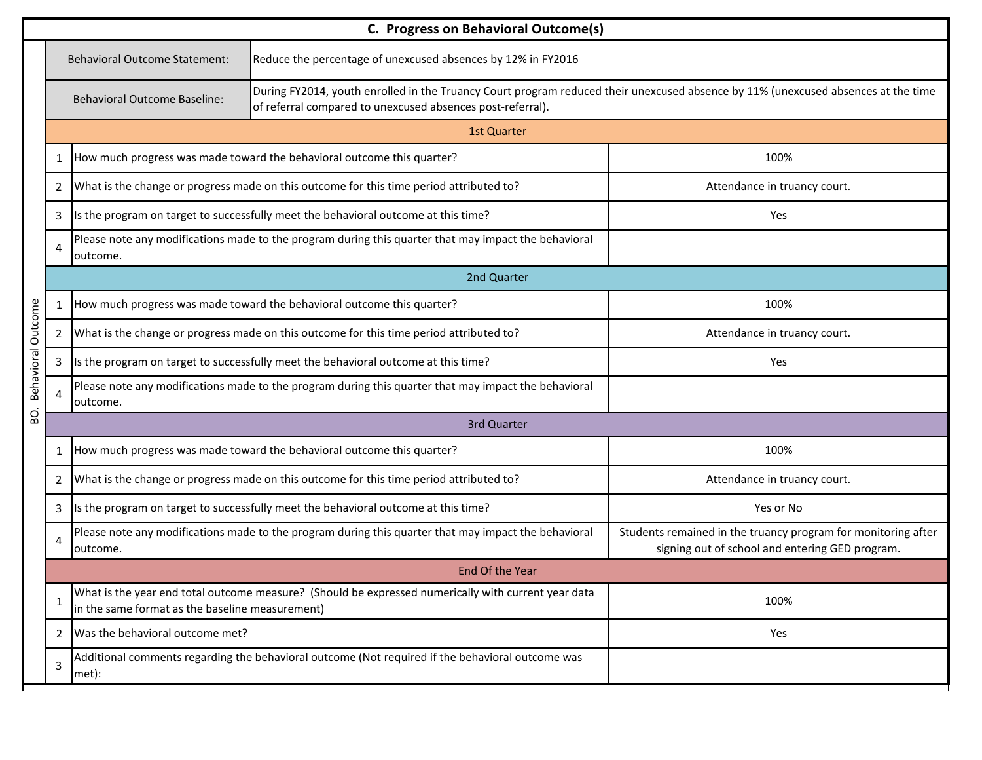|                    | C. Progress on Behavioral Outcome(s)                                                                                                                                                                                                   |                                                 |                                                                                                      |                                                                                                                  |  |  |  |  |
|--------------------|----------------------------------------------------------------------------------------------------------------------------------------------------------------------------------------------------------------------------------------|-------------------------------------------------|------------------------------------------------------------------------------------------------------|------------------------------------------------------------------------------------------------------------------|--|--|--|--|
|                    |                                                                                                                                                                                                                                        | <b>Behavioral Outcome Statement:</b>            | Reduce the percentage of unexcused absences by 12% in FY2016                                         |                                                                                                                  |  |  |  |  |
|                    | During FY2014, youth enrolled in the Truancy Court program reduced their unexcused absence by 11% (unexcused absences at the time<br><b>Behavioral Outcome Baseline:</b><br>of referral compared to unexcused absences post-referral). |                                                 |                                                                                                      |                                                                                                                  |  |  |  |  |
|                    |                                                                                                                                                                                                                                        | <b>1st Quarter</b>                              |                                                                                                      |                                                                                                                  |  |  |  |  |
|                    | $\mathbf{1}$                                                                                                                                                                                                                           |                                                 | How much progress was made toward the behavioral outcome this quarter?                               | 100%                                                                                                             |  |  |  |  |
|                    | 2                                                                                                                                                                                                                                      |                                                 | What is the change or progress made on this outcome for this time period attributed to?              | Attendance in truancy court.                                                                                     |  |  |  |  |
|                    | 3                                                                                                                                                                                                                                      |                                                 | Is the program on target to successfully meet the behavioral outcome at this time?                   | Yes                                                                                                              |  |  |  |  |
|                    | 4                                                                                                                                                                                                                                      | outcome.                                        | Please note any modifications made to the program during this quarter that may impact the behavioral |                                                                                                                  |  |  |  |  |
|                    |                                                                                                                                                                                                                                        |                                                 | 2nd Quarter                                                                                          |                                                                                                                  |  |  |  |  |
|                    | 1                                                                                                                                                                                                                                      |                                                 | How much progress was made toward the behavioral outcome this quarter?                               | 100%                                                                                                             |  |  |  |  |
|                    | 2                                                                                                                                                                                                                                      |                                                 | What is the change or progress made on this outcome for this time period attributed to?              | Attendance in truancy court.                                                                                     |  |  |  |  |
| Behavioral Outcome | 3                                                                                                                                                                                                                                      |                                                 | Is the program on target to successfully meet the behavioral outcome at this time?                   | Yes                                                                                                              |  |  |  |  |
|                    | 4                                                                                                                                                                                                                                      | outcome.                                        | Please note any modifications made to the program during this quarter that may impact the behavioral |                                                                                                                  |  |  |  |  |
| Ö.                 | 3rd Quarter                                                                                                                                                                                                                            |                                                 |                                                                                                      |                                                                                                                  |  |  |  |  |
|                    | $\mathbf{1}$                                                                                                                                                                                                                           |                                                 | How much progress was made toward the behavioral outcome this quarter?                               | 100%                                                                                                             |  |  |  |  |
|                    | 2                                                                                                                                                                                                                                      |                                                 | What is the change or progress made on this outcome for this time period attributed to?              | Attendance in truancy court.                                                                                     |  |  |  |  |
|                    | 3                                                                                                                                                                                                                                      |                                                 | Is the program on target to successfully meet the behavioral outcome at this time?                   | Yes or No                                                                                                        |  |  |  |  |
|                    | 4                                                                                                                                                                                                                                      | outcome.                                        | Please note any modifications made to the program during this quarter that may impact the behavioral | Students remained in the truancy program for monitoring after<br>signing out of school and entering GED program. |  |  |  |  |
|                    | End Of the Year                                                                                                                                                                                                                        |                                                 |                                                                                                      |                                                                                                                  |  |  |  |  |
|                    | 1                                                                                                                                                                                                                                      | in the same format as the baseline measurement) | What is the year end total outcome measure? (Should be expressed numerically with current year data  | 100%                                                                                                             |  |  |  |  |
|                    | $\overline{2}$                                                                                                                                                                                                                         | Was the behavioral outcome met?                 |                                                                                                      | Yes                                                                                                              |  |  |  |  |
|                    | 3                                                                                                                                                                                                                                      | met):                                           | Additional comments regarding the behavioral outcome (Not required if the behavioral outcome was     |                                                                                                                  |  |  |  |  |

Г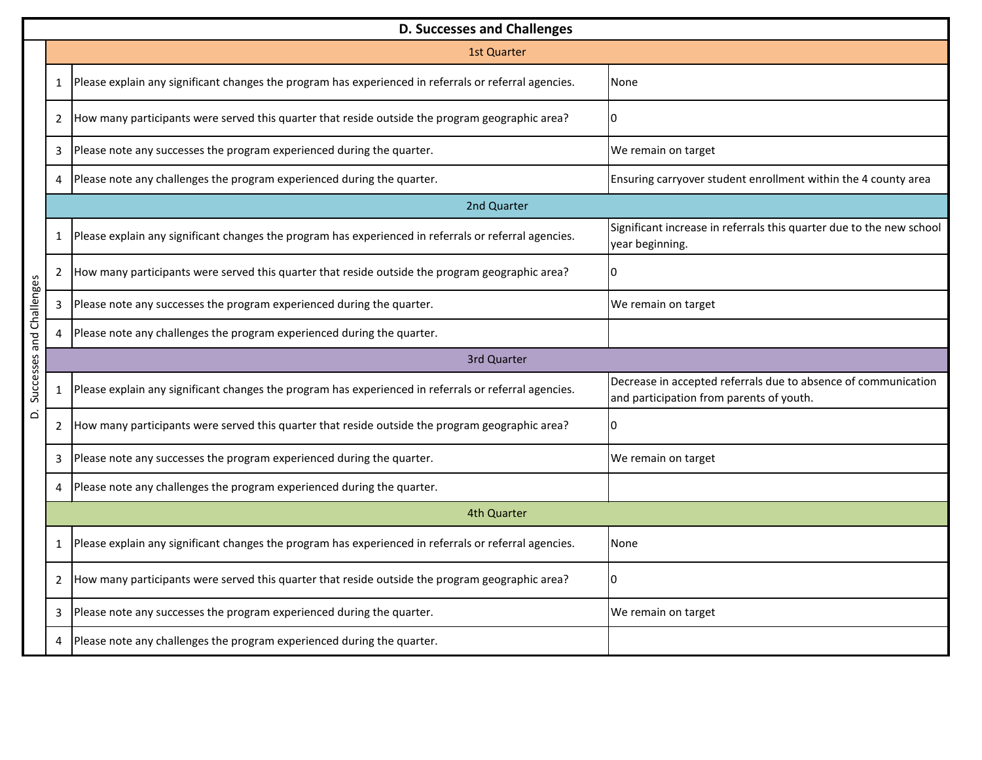|                          | <b>D. Successes and Challenges</b> |                                                                                                       |                                                                                                            |  |  |  |  |  |
|--------------------------|------------------------------------|-------------------------------------------------------------------------------------------------------|------------------------------------------------------------------------------------------------------------|--|--|--|--|--|
|                          |                                    | <b>1st Quarter</b>                                                                                    |                                                                                                            |  |  |  |  |  |
|                          | $\mathbf{1}$                       | Please explain any significant changes the program has experienced in referrals or referral agencies. | None                                                                                                       |  |  |  |  |  |
|                          | 2                                  | How many participants were served this quarter that reside outside the program geographic area?       | 0                                                                                                          |  |  |  |  |  |
|                          | 3                                  | Please note any successes the program experienced during the quarter.                                 | We remain on target                                                                                        |  |  |  |  |  |
|                          | 4                                  | Please note any challenges the program experienced during the quarter.                                | Ensuring carryover student enrollment within the 4 county area                                             |  |  |  |  |  |
|                          |                                    | 2nd Quarter                                                                                           |                                                                                                            |  |  |  |  |  |
|                          | $\mathbf{1}$                       | Please explain any significant changes the program has experienced in referrals or referral agencies. | Significant increase in referrals this quarter due to the new school<br>year beginning.                    |  |  |  |  |  |
|                          | $\overline{2}$                     | How many participants were served this quarter that reside outside the program geographic area?       | 0                                                                                                          |  |  |  |  |  |
|                          | 3                                  | Please note any successes the program experienced during the quarter.                                 | We remain on target                                                                                        |  |  |  |  |  |
|                          | 4                                  | Please note any challenges the program experienced during the quarter.                                |                                                                                                            |  |  |  |  |  |
|                          |                                    | 3rd Quarter                                                                                           |                                                                                                            |  |  |  |  |  |
| Successes and Challenges | 1                                  | Please explain any significant changes the program has experienced in referrals or referral agencies. | Decrease in accepted referrals due to absence of communication<br>and participation from parents of youth. |  |  |  |  |  |
| $\Delta$                 | 2                                  | How many participants were served this quarter that reside outside the program geographic area?       | $\overline{0}$                                                                                             |  |  |  |  |  |
|                          | 3                                  | Please note any successes the program experienced during the quarter.                                 | We remain on target                                                                                        |  |  |  |  |  |
|                          | 4                                  | Please note any challenges the program experienced during the quarter.                                |                                                                                                            |  |  |  |  |  |
|                          | 4th Quarter                        |                                                                                                       |                                                                                                            |  |  |  |  |  |
|                          | 1                                  | Please explain any significant changes the program has experienced in referrals or referral agencies. | None                                                                                                       |  |  |  |  |  |
|                          | $\overline{2}$                     | How many participants were served this quarter that reside outside the program geographic area?       | $\overline{0}$                                                                                             |  |  |  |  |  |
|                          | 3                                  | Please note any successes the program experienced during the quarter.                                 | We remain on target                                                                                        |  |  |  |  |  |
|                          | 4                                  | Please note any challenges the program experienced during the quarter.                                |                                                                                                            |  |  |  |  |  |